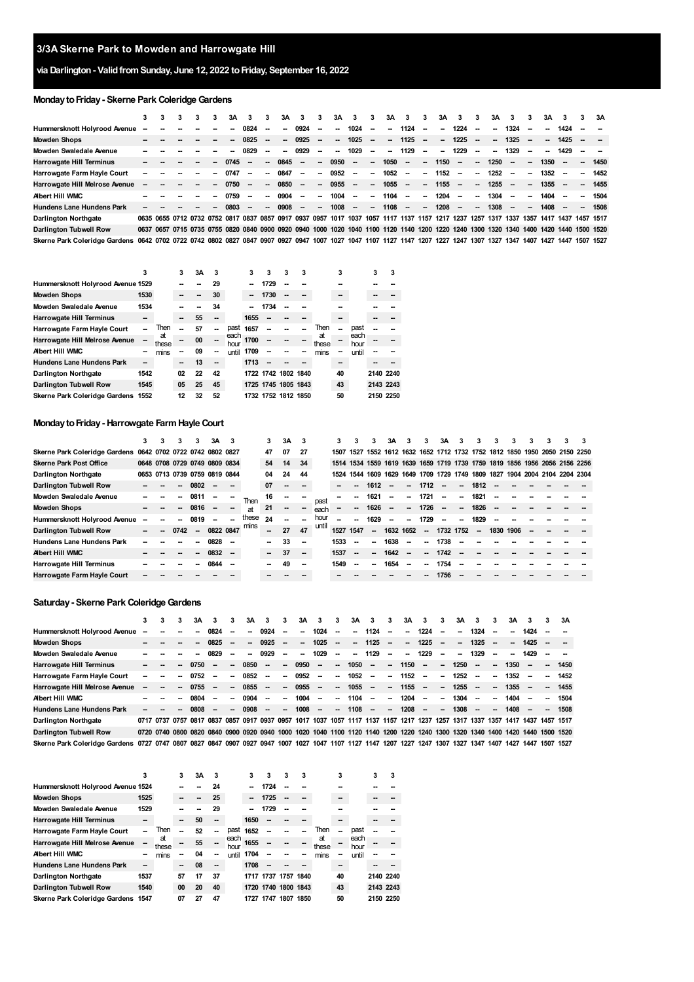# **via Darlington- ValidfromSunday, June 12, 2022 toFriday, September 16, 2022**

# **Monday to Friday - Skerne Park Coleridge Gardens**

|                                                                                                                         | 3      | 3 |    | 3А   | 3                        | 3.                       | 3A   | 3                        | 3                        | 3A                       | 3                        | 3                        | 3Α                       | 3                                                                                                                                      | 3             | 3A                       | 3      | 3      | 3А     | 3                                  | з.     | 3A     | з.   | 3                        | 3A   |
|-------------------------------------------------------------------------------------------------------------------------|--------|---|----|------|--------------------------|--------------------------|------|--------------------------|--------------------------|--------------------------|--------------------------|--------------------------|--------------------------|----------------------------------------------------------------------------------------------------------------------------------------|---------------|--------------------------|--------|--------|--------|------------------------------------|--------|--------|------|--------------------------|------|
| Hummersknott Holyrood Avenue                                                                                            | $\sim$ |   |    | --   | 0824                     | -                        | -    | 0924                     | -                        | $\overline{\phantom{a}}$ | 1024                     | $\overline{\phantom{a}}$ | $\overline{\phantom{a}}$ | 1124                                                                                                                                   |               | −                        | 1224   | $\sim$ | $\sim$ | 1324                               | $\sim$ | --     | 1424 |                          |      |
| <b>Mowden Shops</b>                                                                                                     |        |   |    |      | 0825                     | $\overline{\phantom{a}}$ | -    | 0925                     | -                        | $\overline{\phantom{a}}$ | 1025                     | $\sim$                   | $\sim$                   | 1125                                                                                                                                   | $\sim$        | $\overline{\phantom{a}}$ | 1225   | $\sim$ | $\sim$ | 1325                               | $\sim$ | $\sim$ | 1425 |                          |      |
| Mowden Swaledale Avenue                                                                                                 |        |   |    |      | 0829                     | -                        | -    | 0929                     | -                        | $\overline{\phantom{a}}$ | 1029                     | $\overline{\phantom{a}}$ | $\overline{\phantom{a}}$ | 1129                                                                                                                                   |               | --                       | 1229   | --     | $\sim$ | 1329                               | $\sim$ | --     | 1429 |                          |      |
| Harrowgate Hill Terminus                                                                                                |        |   |    | 0745 | --                       | -                        | 0845 | $\overline{\phantom{a}}$ | -                        | 0950                     | $\overline{\phantom{a}}$ | $\overline{\phantom{a}}$ | 1050                     | $\overline{\phantom{a}}$                                                                                                               | $\sim$ .      | 1150                     | $\sim$ | --     | 1250   | $\overline{\phantom{a}}$           | -      | 1350   |      | -                        | 1450 |
| Harrowgate Farm Hayle Court                                                                                             | --     |   |    | 0747 | $\overline{\phantom{a}}$ | -                        | 0847 | $\sim$                   | -                        | 0952                     | $\sim$                   | $\sim$                   | 1052                     | $\overline{\phantom{a}}$                                                                                                               | $\sim$        | 1152                     | $\sim$ | --     | 1252   | $\overline{\phantom{a}}$           | ۰.     | 1352   |      | $\overline{\phantom{a}}$ | 1452 |
| Harrowgate Hill Melrose Avenue                                                                                          | --     |   | -- | 0750 | --                       | -                        | 0850 | $\sim$                   | Ξ.                       | 0955                     | $\overline{\phantom{a}}$ | $\sim$                   | 1055                     | $\overline{\phantom{a}}$                                                                                                               | $\sim$ $\sim$ | 1155                     | $\sim$ | --     | 1255   | $\sim$                             | -      | 1355   |      | $\overline{\phantom{a}}$ | 1455 |
| Albert Hill WMC                                                                                                         |        |   |    | 0759 |                          | $\sim$                   | 0904 | $\sim$                   | -                        | 1004                     | $\sim$                   | $\sim$                   | 1104                     | $\overline{\phantom{a}}$                                                                                                               | $\sim$        | 1204                     | $\sim$ | --     | 1304   | --                                 | ۰.     | 1404   |      | $\overline{\phantom{a}}$ | 1504 |
| Hundens Lane Hundens Park                                                                                               |        |   |    | 0803 | $\overline{\phantom{a}}$ | $\sim$                   | 0908 | $\overline{\phantom{a}}$ | $\overline{\phantom{a}}$ | 1008                     | $\sim$ .                 | $\sim$                   | 1108                     | $\sim$                                                                                                                                 | $\sim$        | 1208                     | $\sim$ | $\sim$ | 1308   | $\overline{\phantom{a}}$           | $\sim$ | 1408   |      | $\sim$                   | 1508 |
| Darlington Northgate                                                                                                    |        |   |    |      |                          |                          |      |                          |                          |                          |                          |                          |                          | 0635 0655 0712 0732 0752 0817 0837 0857 0917 0937 0957 1017 1037 1057 1117 1137 1157 1217 1237 1257 1317 1337 1357 1417 1437 1457 1517 |               |                          |        |        |        |                                    |        |        |      |                          |      |
| Darlington Tubwell Row                                                                                                  |        |   |    |      |                          |                          |      |                          |                          |                          |                          |                          |                          | 0637 0657 0715 0735 0755 0820 0840 0900 0920 0940 1000 1020 1040 1100 1120 1140 1200 1220 1240 1300 1320 1340 1400 1420 1440 1500 1520 |               |                          |        |        |        |                                    |        |        |      |                          |      |
| Skerne Park Coleridge Gardens 0642 0702 0722 0742 0802 0827 0847 0907 0927 0947 1007 1027 1047 1107 1127 1147 1207 1227 |        |   |    |      |                          |                          |      |                          |                          |                          |                          |                          |                          |                                                                                                                                        |               |                          |        |        |        | 1247 1307 1327 1347 1407 1427 1447 |        |        |      | 1507 1527                |      |

|                                    | 3    |             | 3  | ЗA | 3  |              | 3    | 3                   | 3 | 3 |             | 3  |              | 3         | 3 |
|------------------------------------|------|-------------|----|----|----|--------------|------|---------------------|---|---|-------------|----|--------------|-----------|---|
| Hummersknott Holyrood Avenue 1529  |      |             |    |    | 29 |              |      | 1729                |   |   |             |    |              |           |   |
| <b>Mowden Shops</b>                | 1530 |             |    |    | 30 |              |      | 1730                |   |   |             | -- |              |           |   |
| Mowden Swaledale Avenue            | 1534 |             |    |    | 34 |              |      | 1734                |   |   |             |    |              |           |   |
| Harrowgate Hill Terminus           | --   |             |    | 55 |    |              | 1655 |                     |   |   |             |    |              |           |   |
| Harrowgate Farm Hayle Court        |      | Then        |    | 57 |    | past         | 1657 |                     |   |   | Then        | -- | past         |           |   |
| Harrowgate Hill Melrose Avenue     | --   | at<br>these |    | 00 |    | each<br>hour | 1700 | --                  |   |   | аt<br>these |    | each<br>hour |           |   |
| Albert Hill WMC                    | --   | mins        |    | 09 |    | until        | 1709 | --                  |   |   | mins        |    | until        |           |   |
| Hundens Lane Hundens Park          | --   |             | -- | 13 | -- |              | 1713 |                     |   |   |             | -- |              |           |   |
| Darlington Northgate               | 1542 |             | 02 | 22 | 42 |              |      | 1722 1742 1802 1840 |   |   |             | 40 |              | 2140 2240 |   |
| Darlington Tubwell Row             | 1545 |             | 05 | 25 | 45 |              |      | 1725 1745 1805 1843 |   |   |             | 43 |              | 2143 2243 |   |
| Skerne Park Coleridge Gardens 1552 |      |             | 12 | 32 | 52 |              |      | 1732 1752 1812 1850 |   |   |             | 50 |              | 2150 2250 |   |

# **MondaytoFriday- Harrowgate FarmHayle Court**

|                                                             | 3. | 3 | 3    | 3.     | 3A                            |    |       |    | 3A |        |       |           | 3                        | 3      | 3A        | 3                        | 3                        | 3A        | 3                        | 3                        | 3         | 3 | 3 | 3                                                                          | 3 |
|-------------------------------------------------------------|----|---|------|--------|-------------------------------|----|-------|----|----|--------|-------|-----------|--------------------------|--------|-----------|--------------------------|--------------------------|-----------|--------------------------|--------------------------|-----------|---|---|----------------------------------------------------------------------------|---|
| Skerne Park Coleridge Gardens 0642 0702 0722 0742 0802 0827 |    |   |      |        |                               |    |       | 47 | 07 | 27     |       | 1507      | 1527                     |        |           |                          |                          |           |                          |                          |           |   |   | 1552 1612 1632 1652 1712 1732 1752 1812 1850 1950 2050 2150 2250           |   |
| <b>Skerne Park Post Office</b>                              |    |   |      |        | 0648 0708 0729 0749 0809 0834 |    |       | 54 | 14 | 34     |       |           |                          |        |           |                          |                          |           |                          |                          |           |   |   | 1514 1534 1559 1619 1639 1659 1719 1739 1759 1819 1856 1956 2056 2156 2256 |   |
| <b>Darlington Northgate</b>                                 |    |   |      |        | 0653 0713 0739 0759 0819 0844 |    |       | 04 | 24 | 44     |       |           |                          |        |           |                          |                          |           |                          |                          |           |   |   | 1524 1544 1609 1629 1649 1709 1729 1749 1809 1827 1904 2004 2104 2204 2304 |   |
| Darlington Tubwell Row                                      |    |   | --   | 0802   | $\sim$                        | -- |       | 07 |    |        |       |           | $\overline{\phantom{a}}$ | 1612   |           | $\sim$                   | $1712 -$                 |           | ш.                       | 1812                     |           |   |   |                                                                            |   |
| Mowden Swaledale Avenue                                     |    |   |      | 0811   |                               | -- | Then  | 16 |    |        | past  |           | --                       | 1621   |           | --                       | 1721                     |           | --                       | 1821                     |           |   |   |                                                                            |   |
| <b>Mowden Shops</b>                                         |    |   |      | 0816   |                               | -- | аt    | 21 | -- | $\sim$ | each  |           | -                        | 1626   |           | $\sim$                   | 1726                     |           | --                       | 1826                     |           |   |   |                                                                            |   |
| Hummersknott Holyrood Avenue                                |    |   |      | 0819   |                               | -- | these | 24 | -- | --     | hour  |           | --                       | 1629   | $\sim$    | $\overline{\phantom{a}}$ | 1729                     |           | $\overline{\phantom{a}}$ | 1829                     |           |   |   |                                                                            |   |
| Darlington Tubwell Row                                      |    |   | 0742 | $\sim$ | 0822 0847                     |    | mins  | -- | 27 | 47     | until | 1527 1547 |                          | $\sim$ | 1632 1652 |                          | $\sim$                   | 1732 1752 |                          | $\overline{\phantom{a}}$ | 1830 1906 |   |   |                                                                            |   |
| <b>Hundens Lane Hundens Park</b>                            |    |   |      |        | 0828                          |    |       | -- | 33 | --     |       | 1533      |                          | --     | 1638      | --                       | $\overline{\phantom{a}}$ | 1738      |                          |                          |           |   |   |                                                                            |   |
| <b>Albert Hill WMC</b>                                      |    |   |      | $\sim$ | $0832 -$                      |    |       | -- | 37 | $\sim$ |       | 1537      | --                       | --     | 1642      | $\overline{\phantom{a}}$ | -                        | 1742      |                          |                          |           |   |   |                                                                            |   |
| Harrowgate Hill Terminus                                    |    |   |      |        | 0844                          |    |       |    | 49 | --     |       | 1549      |                          | --     | 1654      | --                       | --                       | 1754      |                          |                          |           |   |   |                                                                            |   |
| Harrowgate Farm Hayle Court                                 |    |   |      |        |                               |    |       |    |    |        |       |           |                          |        |           |                          |                          | 1756      |                          |                          |           |   |   |                                                                            |   |

## **Saturday- Skerne Park ColeridgeGardens**

|                                                                                                                                                            | 3      | з. | 3 | 3A   | 3                        | 3                        | 3Α                                                                                                                           | з.                       | 3      | 3A   | 3                        | 3                        | 3A                       | 3      | 3                        | 3A                       | 3                        | 3                        | 3A                       | з.                                 | 3                        | 3А   | 3    | 3 | 3A   |
|------------------------------------------------------------------------------------------------------------------------------------------------------------|--------|----|---|------|--------------------------|--------------------------|------------------------------------------------------------------------------------------------------------------------------|--------------------------|--------|------|--------------------------|--------------------------|--------------------------|--------|--------------------------|--------------------------|--------------------------|--------------------------|--------------------------|------------------------------------|--------------------------|------|------|---|------|
| Hummersknott Holyrood Avenue                                                                                                                               | $\sim$ |    |   |      | 0824                     |                          | --                                                                                                                           | 0924                     |        | -    | 1024                     | $\overline{\phantom{a}}$ | -                        | 1124   | -                        | -                        | 1224                     | $\overline{\phantom{a}}$ | $\overline{\phantom{a}}$ | 1324                               |                          | --   | 1424 |   |      |
| <b>Mowden Shops</b>                                                                                                                                        |        |    |   |      | 0825                     | $\overline{\phantom{a}}$ | $\overline{\phantom{a}}$                                                                                                     | 0925                     |        | -    | 1025                     | $\overline{\phantom{a}}$ | $\overline{\phantom{a}}$ | 1125   | -                        | $\overline{\phantom{a}}$ | 1225                     | $\overline{\phantom{a}}$ | -                        | 1325                               |                          | --   | 1425 |   |      |
| Mowden Swaledale Avenue                                                                                                                                    |        |    |   |      | 0829                     |                          | -−                                                                                                                           | 0929                     |        | -    | 1029                     | $\overline{\phantom{a}}$ | -                        | 1129   | -                        | -                        | 1229                     | $\overline{\phantom{a}}$ | $\sim$                   | 1329                               |                          | --   | 1429 |   |      |
| Harrowgate Hill Terminus                                                                                                                                   |        |    |   | 0750 | --                       | --                       | 0850                                                                                                                         | $\overline{\phantom{a}}$ | $\sim$ | 0950 | $\overline{\phantom{a}}$ | $\overline{\phantom{a}}$ | 1050                     | $\sim$ | $\overline{\phantom{a}}$ | 1150                     | $\overline{\phantom{a}}$ | --                       | 1250                     | $\sim$                             | $\sim$                   | 1350 |      |   | 1450 |
| Harrowgate Farm Hayle Court                                                                                                                                |        |    |   | 0752 | $\overline{\phantom{a}}$ | $\overline{\phantom{a}}$ | 0852                                                                                                                         | $\overline{\phantom{a}}$ | $\sim$ | 0952 | $\sim$                   | $\overline{\phantom{a}}$ | 1052                     | $\sim$ | $\overline{\phantom{a}}$ | 1152                     | $\overline{\phantom{a}}$ | $\overline{\phantom{a}}$ | 1252                     | $\overline{\phantom{a}}$           | $\overline{\phantom{a}}$ | 1352 |      | - | 1452 |
| Harrowgate Hill Melrose Avenue                                                                                                                             |        |    |   | 0755 | $\overline{\phantom{a}}$ | --                       | 0855                                                                                                                         | $\overline{\phantom{a}}$ | $\sim$ | 0955 | $\sim$                   | -                        | 1055                     | $\sim$ | -                        | 1155                     | $\overline{\phantom{a}}$ | --                       | 1255                     | $\sim$                             | --                       | 1355 |      |   | 1455 |
| <b>Albert Hill WMC</b>                                                                                                                                     |        |    |   | 0804 | $\overline{\phantom{a}}$ | $\overline{\phantom{a}}$ | 0904                                                                                                                         | $\overline{\phantom{a}}$ | $\sim$ | 1004 | $\sim$                   | Ξ.                       | 1104                     |        | --                       | 1204                     | $\overline{\phantom{a}}$ | --                       | 1304                     | $\overline{\phantom{a}}$           |                          | 1404 |      |   | 1504 |
| <b>Hundens Lane Hundens Park</b>                                                                                                                           |        |    |   | 0808 |                          | $\overline{\phantom{a}}$ | 0908                                                                                                                         | $\overline{\phantom{a}}$ | $\sim$ | 1008 | $\overline{\phantom{a}}$ | $\overline{\phantom{a}}$ | 1108                     | $\sim$ | $\overline{\phantom{a}}$ | 1208                     | $\sim$                   | --                       | 1308                     | $\sim$                             | $\sim$                   | 1408 |      |   | 1508 |
| <b>Darlington Northgate</b>                                                                                                                                |        |    |   |      |                          |                          | 0717 0737 0757 0817 0837 0857 0917 0937 0957 1017 1037 1057 1117 1137 1157 1217 1237                                         |                          |        |      |                          |                          |                          |        |                          |                          |                          | 1257                     |                          | 1317 1337 1357 1417 1437 1457 1517 |                          |      |      |   |      |
| Darlington Tubwell Row                                                                                                                                     |        |    |   |      |                          |                          | 0720 0740 0800 0820 0840 0900 0920 0940 1000 1020 1040 1100 1120 1140 1200 1220 1240 1300 1320 1340 1400 1420 1440 1500 1520 |                          |        |      |                          |                          |                          |        |                          |                          |                          |                          |                          |                                    |                          |      |      |   |      |
| Skerne Park Coleridge Gardens 0727 0747 0807 0827 0847 0907 0927 0947 1007 1027 1047 1107 1127 1147 1207 1227 1247 1307 1327 1347 1407 1427 1447 1507 1527 |        |    |   |      |                          |                          |                                                                                                                              |                          |        |      |                          |                          |                          |        |                          |                          |                          |                          |                          |                                    |                          |      |      |   |      |

|                                    | 3    |             | 3  | 3A | 3  |              | 3    | 3                   | 3 | 3 |             | 3  |              | 3         | 3 |
|------------------------------------|------|-------------|----|----|----|--------------|------|---------------------|---|---|-------------|----|--------------|-----------|---|
| Hummersknott Holyrood Avenue 1524  |      |             |    |    | 24 |              |      | 1724                |   |   |             |    |              |           |   |
| <b>Mowden Shops</b>                | 1525 |             |    |    | 25 |              |      | 1725                |   |   |             | -- |              |           |   |
| Mowden Swaledale Avenue            | 1529 |             |    |    | 29 |              |      | 1729                |   |   |             |    |              |           |   |
| <b>Harrowgate Hill Terminus</b>    | --   |             |    | 50 | -- |              | 1650 |                     |   |   |             | -- |              |           |   |
| Harrowgate Farm Hayle Court        |      | Then        |    | 52 |    | past         | 1652 |                     |   |   | Then        | -- | past         |           |   |
| Harrowgate Hill Melrose Avenue     | --   | at<br>these |    | 55 | -- | each<br>hour | 1655 |                     |   |   | аt<br>these | -- | each<br>hour |           |   |
| <b>Albert Hill WMC</b>             | --   | mins        |    | 04 |    | until        | 1704 | $\sim$              |   |   | mins        |    | until        |           |   |
| Hundens Lane Hundens Park          | --   |             |    | 08 | -- |              | 1708 |                     |   |   |             | -- |              |           |   |
| <b>Darlington Northgate</b>        | 1537 |             | 57 | 17 | 37 |              |      | 1717 1737 1757 1840 |   |   |             | 40 |              | 2140 2240 |   |
| Darlington Tubwell Row             | 1540 |             | 00 | 20 | 40 |              |      | 1720 1740 1800 1843 |   |   |             | 43 |              | 2143 2243 |   |
| Skerne Park Coleridge Gardens 1547 |      |             | 07 | 27 | 47 |              |      | 1727 1747 1807 1850 |   |   |             | 50 |              | 2150 2250 |   |